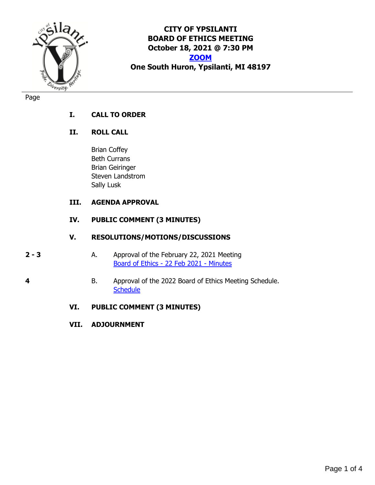

**CITY OF YPSILANTI BOARD OF ETHICS MEETING October 18, 2021 @ 7:30 PM [ZOOM](https://us02web.zoom.us/j/81858424985) One South Huron, Ypsilanti, MI 48197**

Page

# **I. CALL TO ORDER**

# **II. ROLL CALL**

Brian Coffey Beth Currans Brian Geiringer Steven Landstrom Sally Lusk

# **III. AGENDA APPROVAL**

# **IV. PUBLIC COMMENT (3 MINUTES)**

# **V. RESOLUTIONS/MOTIONS/DISCUSSIONS**

- **2 3** A. Approval of the February 22, 2021 Meeting [Board of Ethics -](#page-1-0) 22 Feb 2021 - Minutes
- **4** B. Approval of the 2022 Board of Ethics Meeting Schedule. **[Schedule](#page-3-0)**

# **VI. PUBLIC COMMENT (3 MINUTES)**

**VII. ADJOURNMENT**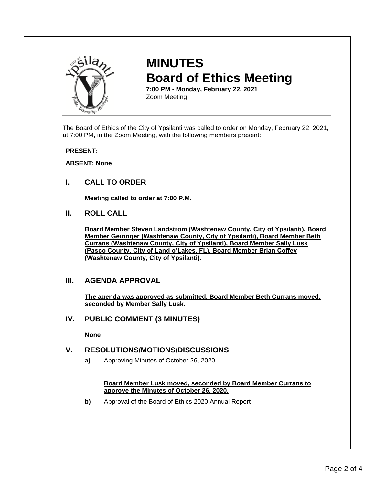<span id="page-1-0"></span>

# **MINUTES Board of Ethics Meeting**

**7:00 PM - Monday, February 22, 2021** Zoom Meeting

The Board of Ethics of the City of Ypsilanti was called to order on Monday, February 22, 2021, at 7:00 PM, in the Zoom Meeting, with the following members present:

#### **PRESENT:**

#### **ABSENT: None**

**I. CALL TO ORDER**

**Meeting called to order at 7:00 P.M.**

**II. ROLL CALL**

**Board Member Steven Landstrom (Washtenaw County, City of Ypsilanti), Board Member Geiringer (Washtenaw County, City of Ypsilanti), Board Member Beth Currans (Washtenaw County, City of Ypsilanti), Board Member Sally Lusk (Pasco County, City of Land o'Lakes, FL), Board Member Brian Coffey (Washtenaw County, City of Ypsilanti).**

## **III. AGENDA APPROVAL**

**The agenda was approved as submitted. Board Member Beth Currans moved, seconded by Member Sally Lusk.**

## **IV. PUBLIC COMMENT (3 MINUTES)**

**None**

## **V. RESOLUTIONS/MOTIONS/DISCUSSIONS**

**a)** Approving Minutes of October 26, 2020.

#### **Board Member Lusk moved, seconded by Board Member Currans to approve the Minutes of October 26, 2020.**

**b)** Approval of the Board of Ethics 2020 Annual Report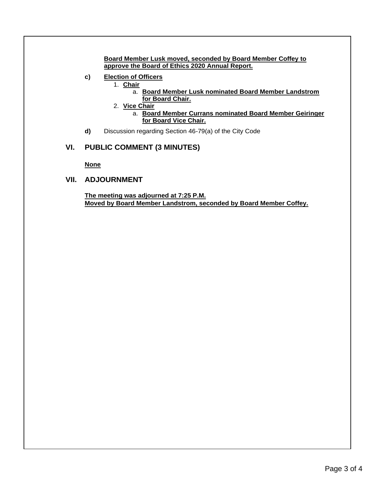**Board Member Lusk moved, seconded by Board Member Coffey to approve the Board of Ethics 2020 Annual Report.**

- **c) Election of Officers**
	- 1. **Chair**
		- a. **Board Member Lusk nominated Board Member Landstrom for Board Chair.**
	- 2. **Vice Chair**
		- a. **Board Member Currans nominated Board Member Geiringer for Board Vice Chair.**
- **d)** Discussion regarding Section 46-79(a) of the City Code

## **VI. PUBLIC COMMENT (3 MINUTES)**

**None**

### **VII. ADJOURNMENT**

**The meeting was adjourned at 7:25 P.M. Moved by Board Member Landstrom, seconded by Board Member Coffey.**